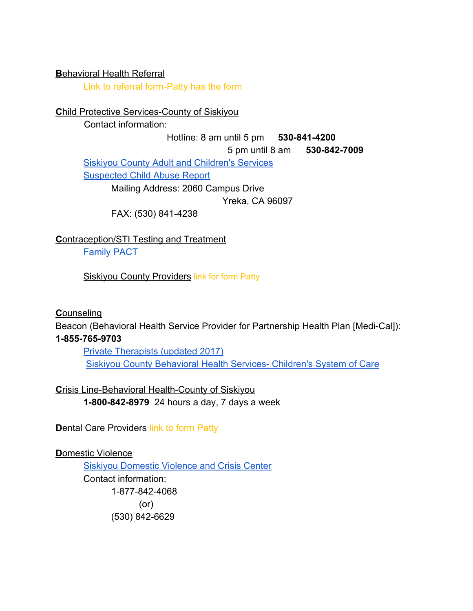#### **B**ehavioral Health Referral

Link to referral form-Patty has the form

### **Child Protective Services-County of Siskiyou**

Contact information:

#### Hotline: 8 am until 5 pm **530-841-4200**

5 pm until 8 am **530-842-7009**

[Siskiyou County Adult and Children's Services](http://www.co.siskiyou.ca.us/content/social-services-adult-childrens-services)

[Suspected Child Abuse Report](http://ag.ca.gov/childabuse/pdf/ss_8572.pdf)

Mailing Address: 2060 Campus Drive

Yreka, CA 96097

FAX: (530) 841-4238

# **C**ontraception/STI Testing and Treatment

[Family PACT](http://www.familypact.org/Get%20Covered/what-does-family-pact-cover)

Siskiyou County Providers link for form Patty

# **C**ounseling

Beacon (Behavioral Health Service Provider for Partnership Health Plan [Medi-Cal]): **1-855-765-9703**

[Private Therapists \(updated 2017\)](https://www.co.siskiyou.ca.us/sites/default/files/docs/BHS-20170905_Provider_List.pdf) [Siskiyou County Behavioral Health Services- Children's System of Care](https://www.co.siskiyou.ca.us/content/childrens-system-of-care)

**C**risis Line-Behavioral Health-County of Siskiyou **1-800-842-8979** 24 hours a day, 7 days a week

**Dental Care Providers link to form Patty** 

# **D**omestic Violence

[Siskiyou Domestic Violence and Crisis Center](https://sdvcc.org/) Contact information: 1-877-842-4068 (or) (530) 842-6629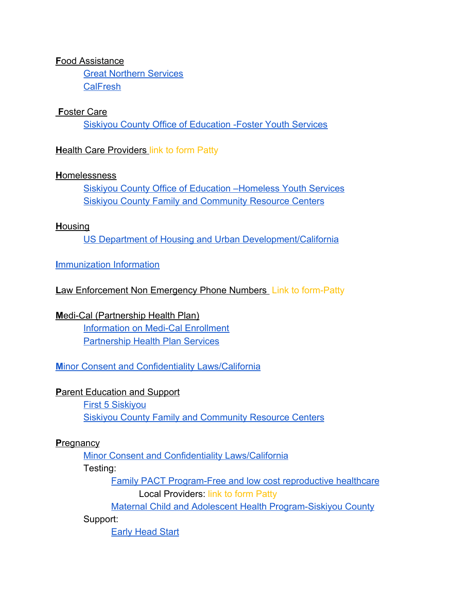#### **Food Assistance**

**Great Northern Services CalFresh** 

#### **Foster Care**

**Siskiyou County Office of Education - Foster Youth Services** 

### **Health Care Providers link to form Patty**

#### **Homelessness**

**Siskiyou County Office of Education - Homeless Youth Services Siskiyou County Family and Community Resource Centers** 

#### **Housing**

US Department of Housing and Urban Development/California

# **Immunization Information**

# Law Enforcement Non Emergency Phone Numbers Link to form-Patty

# Medi-Cal (Partnership Health Plan)

**Information on Medi-Cal Enrollment Partnership Health Plan Services** 

**Minor Consent and Confidentiality Laws/California** 

#### **Parent Education and Support**

**First 5 Siskiyou Siskiyou County Family and Community Resource Centers** 

#### Pregnancy

Minor Consent and Confidentiality Laws/California

#### Testing:

**Family PACT Program-Free and low cost reproductive healthcare Local Providers: link to form Patty** 

**Maternal Child and Adolescent Health Program-Siskiyou County** 

# Support:

**Early Head Start**